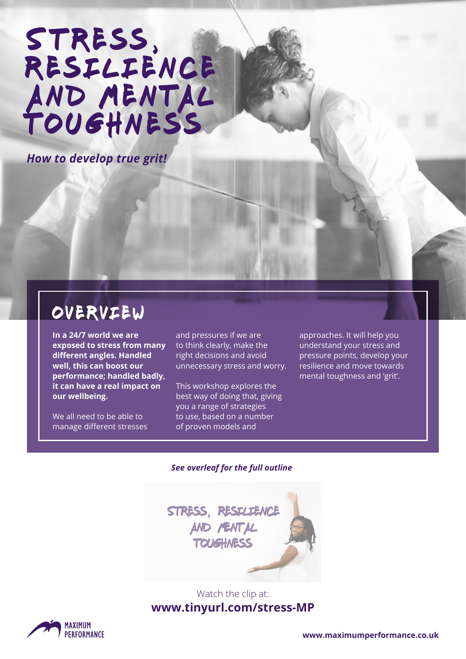# STRESS, RESILIENCE AND MENTAL toughness

*How to develop true grit!*

### overview

**In a 24/7 world we are exposed to stress from many different angles. Handled well, this can boost our performance; handled badly, it can have a real impact on our wellbeing.** 

We all need to be able to manage different stresses and pressures if we are to think clearly, make the right decisions and avoid unnecessary stress and worry.

This workshop explores the best way of doing that, giving you a range of strategies to use, based on a number of proven models and

approaches. It will help you understand your stress and pressure points, develop your resilience and move towards mental toughness and 'grit'.

#### *See overleaf for the full outline*



#### Watch the clip at: **[www.tinyurl.com/stress-MP](http://www.tinyurl.com/stress-MP)**